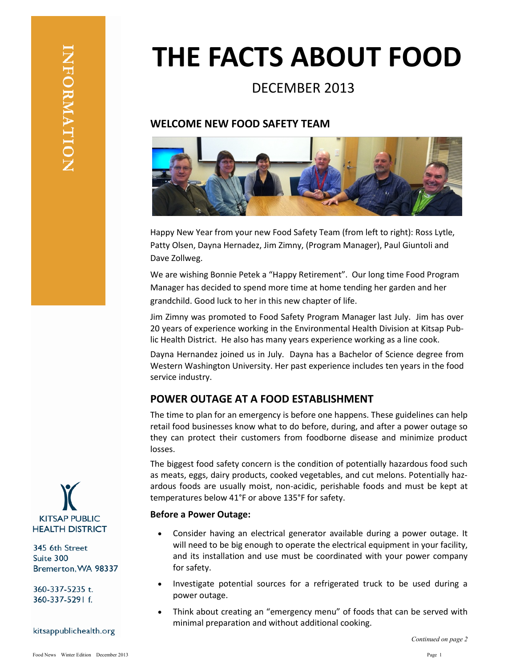# **THE FACTS ABOUT FOOD**

## DECEMBER 2013

## **WELCOME NEW FOOD SAFETY TEAM**



Happy New Year from your new Food Safety Team (from left to right): Ross Lytle, Patty Olsen, Dayna Hernadez, Jim Zimny, (Program Manager), Paul Giuntoli and Dave Zollweg.

We are wishing Bonnie Petek a "Happy Retirement". Our long time Food Program Manager has decided to spend more time at home tending her garden and her grandchild. Good luck to her in this new chapter of life.

Jim Zimny was promoted to Food Safety Program Manager last July. Jim has over 20 years of experience working in the Environmental Health Division at Kitsap Public Health District. He also has many years experience working as a line cook.

Dayna Hernandez joined us in July. Dayna has a Bachelor of Science degree from Western Washington University. Her past experience includes ten years in the food service industry.

## **POWER OUTAGE AT A FOOD ESTABLISHMENT**

The time to plan for an emergency is before one happens. These guidelines can help retail food businesses know what to do before, during, and after a power outage so they can protect their customers from foodborne disease and minimize product losses.

The biggest food safety concern is the condition of potentially hazardous food such as meats, eggs, dairy products, cooked vegetables, and cut melons. Potentially hazardous foods are usually moist, non-acidic, perishable foods and must be kept at temperatures below 41°F or above 135°F for safety.

#### **Before a Power Outage:**

- Consider having an electrical generator available during a power outage. It will need to be big enough to operate the electrical equipment in your facility, and its installation and use must be coordinated with your power company for safety.
- Investigate potential sources for a refrigerated truck to be used during a power outage.
- Think about creating an "emergency menu" of foods that can be served with minimal preparation and without additional cooking.



345 6th Street Suite 300 Bremerton, WA 98337

360-337-5235 t. 360-337-5291 f.

#### kitsappublichealth.org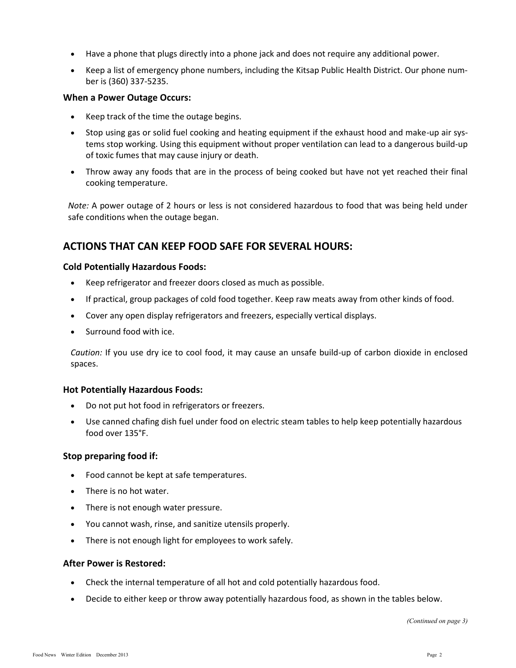- Have a phone that plugs directly into a phone jack and does not require any additional power.
- Keep a list of emergency phone numbers, including the Kitsap Public Health District. Our phone number is (360) 337-5235.

#### **When a Power Outage Occurs:**

- $\bullet$  Keep track of the time the outage begins.
- Stop using gas or solid fuel cooking and heating equipment if the exhaust hood and make-up air systems stop working. Using this equipment without proper ventilation can lead to a dangerous build-up of toxic fumes that may cause injury or death.
- Throw away any foods that are in the process of being cooked but have not yet reached their final cooking temperature.

*Note:* A power outage of 2 hours or less is not considered hazardous to food that was being held under safe conditions when the outage began.

## **ACTIONS THAT CAN KEEP FOOD SAFE FOR SEVERAL HOURS:**

#### **Cold Potentially Hazardous Foods:**

- Keep refrigerator and freezer doors closed as much as possible.
- If practical, group packages of cold food together. Keep raw meats away from other kinds of food.
- Cover any open display refrigerators and freezers, especially vertical displays.
- Surround food with ice.

*Caution:* If you use dry ice to cool food, it may cause an unsafe build-up of carbon dioxide in enclosed spaces.

#### **Hot Potentially Hazardous Foods:**

- Do not put hot food in refrigerators or freezers.
- Use canned chafing dish fuel under food on electric steam tables to help keep potentially hazardous food over 135°F.

#### **Stop preparing food if:**

- Food cannot be kept at safe temperatures.
- There is no hot water.
- There is not enough water pressure.
- You cannot wash, rinse, and sanitize utensils properly.
- There is not enough light for employees to work safely.

#### **After Power is Restored:**

- Check the internal temperature of all hot and cold potentially hazardous food.
- Decide to either keep or throw away potentially hazardous food, as shown in the tables below.

*(Continued on page 3)*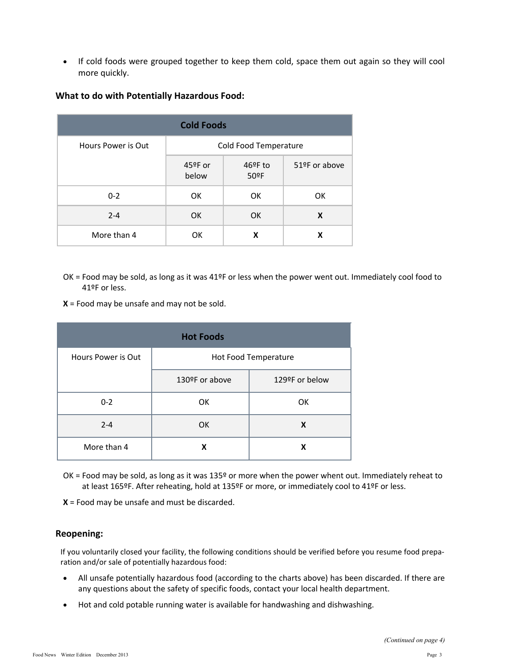If cold foods were grouped together to keep them cold, space them out again so they will cool more quickly.

| <b>Cold Foods</b>  |                            |                                        |               |
|--------------------|----------------------------|----------------------------------------|---------------|
| Hours Power is Out | Cold Food Temperature      |                                        |               |
|                    | $45^{\circ}$ F or<br>below | $46^{\circ}$ F to<br>50 <sup>°</sup> F | 51ºF or above |
| $0 - 2$            | OK.                        | 0K                                     | OK            |
| $2 - 4$            | <b>OK</b>                  | <b>OK</b>                              | X             |
| More than 4        | ОK                         | x                                      | x             |

#### **What to do with Potentially Hazardous Food:**

- OK = Food may be sold, as long as it was 41ºF or less when the power went out. Immediately cool food to 41ºF or less.
- **X** = Food may be unsafe and may not be sold.

| <b>Hot Foods</b>   |                      |                |  |  |
|--------------------|----------------------|----------------|--|--|
| Hours Power is Out | Hot Food Temperature |                |  |  |
|                    | 130ºF or above       | 129ºF or below |  |  |
| $0 - 2$            | OK                   | OK             |  |  |
| $2 - 4$            | 0K                   | X              |  |  |
| More than 4        | x                    | x              |  |  |

OK = Food may be sold, as long as it was 135º or more when the power whent out. Immediately reheat to at least 165ºF. After reheating, hold at 135ºF or more, or immediately cool to 41ºF or less.

**X** = Food may be unsafe and must be discarded.

#### **Reopening:**

If you voluntarily closed your facility, the following conditions should be verified before you resume food preparation and/or sale of potentially hazardous food:

- All unsafe potentially hazardous food (according to the charts above) has been discarded. If there are any questions about the safety of specific foods, contact your local health department.
- Hot and cold potable running water is available for handwashing and dishwashing.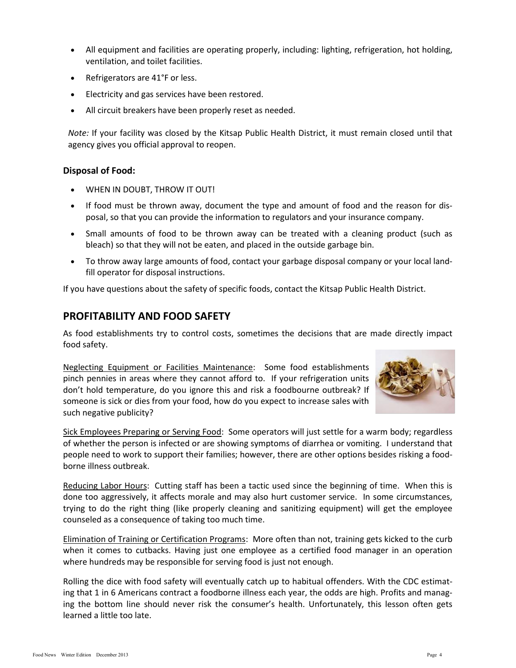- All equipment and facilities are operating properly, including: lighting, refrigeration, hot holding, ventilation, and toilet facilities.
- Refrigerators are 41°F or less.
- Electricity and gas services have been restored.
- All circuit breakers have been properly reset as needed.

*Note:* If your facility was closed by the Kitsap Public Health District, it must remain closed until that agency gives you official approval to reopen.

#### **Disposal of Food:**

- WHEN IN DOUBT, THROW IT OUT!
- If food must be thrown away, document the type and amount of food and the reason for disposal, so that you can provide the information to regulators and your insurance company.
- Small amounts of food to be thrown away can be treated with a cleaning product (such as bleach) so that they will not be eaten, and placed in the outside garbage bin.
- To throw away large amounts of food, contact your garbage disposal company or your local landfill operator for disposal instructions.

If you have questions about the safety of specific foods, contact the Kitsap Public Health District.

## **PROFITABILITY AND FOOD SAFETY**

As food establishments try to control costs, sometimes the decisions that are made directly impact food safety.

Neglecting Equipment or Facilities Maintenance: Some food establishments pinch pennies in areas where they cannot afford to. If your refrigeration units don't hold temperature, do you ignore this and risk a foodbourne outbreak? If someone is sick or dies from your food, how do you expect to increase sales with such negative publicity?



Sick Employees Preparing or Serving Food: Some operators will just settle for a warm body; regardless of whether the person is infected or are showing symptoms of diarrhea or vomiting. I understand that people need to work to support their families; however, there are other options besides risking a foodborne illness outbreak.

Reducing Labor Hours: Cutting staff has been a tactic used since the beginning of time. When this is done too aggressively, it affects morale and may also hurt customer service. In some circumstances, trying to do the right thing (like properly cleaning and sanitizing equipment) will get the employee counseled as a consequence of taking too much time.

Elimination of Training or Certification Programs: More often than not, training gets kicked to the curb when it comes to cutbacks. Having just one employee as a certified food manager in an operation where hundreds may be responsible for serving food is just not enough.

Rolling the dice with food safety will eventually catch up to habitual offenders. With the CDC estimating that 1 in 6 Americans contract a foodborne illness each year, the odds are high. Profits and managing the bottom line should never risk the consumer's health. Unfortunately, this lesson often gets learned a little too late.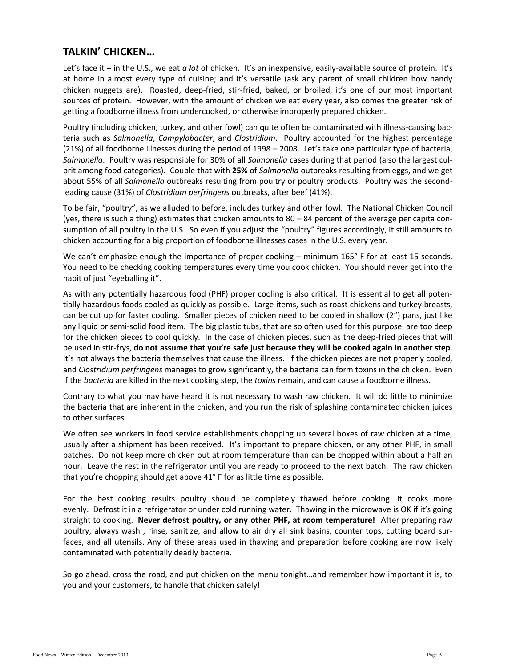## **TALKIN' CHICKEN…**

Let's face it – in the U.S., we eat *a lot* of chicken. It's an inexpensive, easily-available source of protein. It's at home in almost every type of cuisine; and it's versatile (ask any parent of small children how handy chicken nuggets are). Roasted, deep-fried, stir-fried, baked, or broiled, it's one of our most important sources of protein. However, with the amount of chicken we eat every year, also comes the greater risk of getting a foodborne illness from undercooked, or otherwise improperly prepared chicken.

Poultry (including chicken, turkey, and other fowl) can quite often be contaminated with illness-causing bacteria such as *Salmonella*, *Campylobacter*, and *Clostridium*. Poultry accounted for the highest percentage (21%) of all foodborne illnesses during the period of 1998 – 2008. Let's take one particular type of bacteria, *Salmonella*. Poultry was responsible for 30% of all *Salmonella* cases during that period (also the largest culprit among food categories). Couple that with **25%** of *Salmonella* outbreaks resulting from eggs, and we get about 55% of all *Salmonella* outbreaks resulting from poultry or poultry products. Poultry was the secondleading cause (31%) of *Clostridium perfringens* outbreaks, after beef (41%).

To be fair, "poultry", as we alluded to before, includes turkey and other fowl. The National Chicken Council (yes, there is such a thing) estimates that chicken amounts to 80 – 84 percent of the average per capita consumption of all poultry in the U.S. So even if you adjust the "poultry" figures accordingly, it still amounts to chicken accounting for a big proportion of foodborne illnesses cases in the U.S. every year.

We can't emphasize enough the importance of proper cooking – minimum 165° F for at least 15 seconds. You need to be checking cooking temperatures every time you cook chicken. You should never get into the habit of just "eyeballing it".

As with any potentially hazardous food (PHF) proper cooling is also critical. It is essential to get all potentially hazardous foods cooled as quickly as possible. Large items, such as roast chickens and turkey breasts, can be cut up for faster cooling. Smaller pieces of chicken need to be cooled in shallow (2") pans, just like any liquid or semi-solid food item. The big plastic tubs, that are so often used for this purpose, are too deep for the chicken pieces to cool quickly. In the case of chicken pieces, such as the deep-fried pieces that will be used in stir-frys, **do not assume that you're safe just because they will be cooked again in another step**. It's not always the bacteria themselves that cause the illness. If the chicken pieces are not properly cooled, and *Clostridium perfringens* manages to grow significantly, the bacteria can form toxins in the chicken. Even if the *bacteria* are killed in the next cooking step, the *toxins* remain, and can cause a foodborne illness.

Contrary to what you may have heard it is not necessary to wash raw chicken. It will do little to minimize the bacteria that are inherent in the chicken, and you run the risk of splashing contaminated chicken juices to other surfaces.

We often see workers in food service establishments chopping up several boxes of raw chicken at a time, usually after a shipment has been received. It's important to prepare chicken, or any other PHF, in small batches. Do not keep more chicken out at room temperature than can be chopped within about a half an hour. Leave the rest in the refrigerator until you are ready to proceed to the next batch. The raw chicken that you're chopping should get above 41° F for as little time as possible.

For the best cooking results poultry should be completely thawed before cooking. It cooks more evenly. Defrost it in a refrigerator or under cold running water. Thawing in the microwave is OK if it's going straight to cooking. **Never defrost poultry, or any other PHF, at room temperature!** After preparing raw poultry, always wash , rinse, sanitize, and allow to air dry all sink basins, counter tops, cutting board surfaces, and all utensils. Any of these areas used in thawing and preparation before cooking are now likely contaminated with potentially deadly bacteria.

So go ahead, cross the road, and put chicken on the menu tonight…and remember how important it is, to you and your customers, to handle that chicken safely!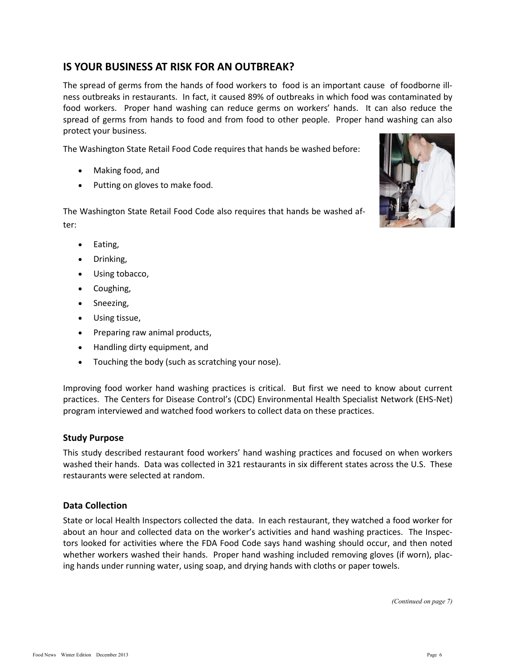## **IS YOUR BUSINESS AT RISK FOR AN OUTBREAK?**

The spread of germs from the hands of food workers to food is an important cause of foodborne illness outbreaks in restaurants. In fact, it caused 89% of outbreaks in which food was contaminated by food workers. Proper hand washing can reduce germs on workers' hands. It can also reduce the spread of germs from hands to food and from food to other people. Proper hand washing can also protect your business.

The Washington State Retail Food Code requires that hands be washed before:

- Making food, and
- Putting on gloves to make food.

The Washington State Retail Food Code also requires that hands be washed after:



- Eating,
- Drinking,
- Using tobacco,
- Coughing,
- Sneezing,
- Using tissue,
- Preparing raw animal products,
- Handling dirty equipment, and
- Touching the body (such as scratching your nose).

Improving food worker hand washing practices is critical. But first we need to know about current practices. The Centers for Disease Control's (CDC) Environmental Health Specialist Network (EHS-Net) program interviewed and watched food workers to collect data on these practices.

#### **Study Purpose**

This study described restaurant food workers' hand washing practices and focused on when workers washed their hands. Data was collected in 321 restaurants in six different states across the U.S. These restaurants were selected at random.

#### **Data Collection**

State or local Health Inspectors collected the data. In each restaurant, they watched a food worker for about an hour and collected data on the worker's activities and hand washing practices. The Inspectors looked for activities where the FDA Food Code says hand washing should occur, and then noted whether workers washed their hands. Proper hand washing included removing gloves (if worn), placing hands under running water, using soap, and drying hands with cloths or paper towels.

*(Continued on page 7)*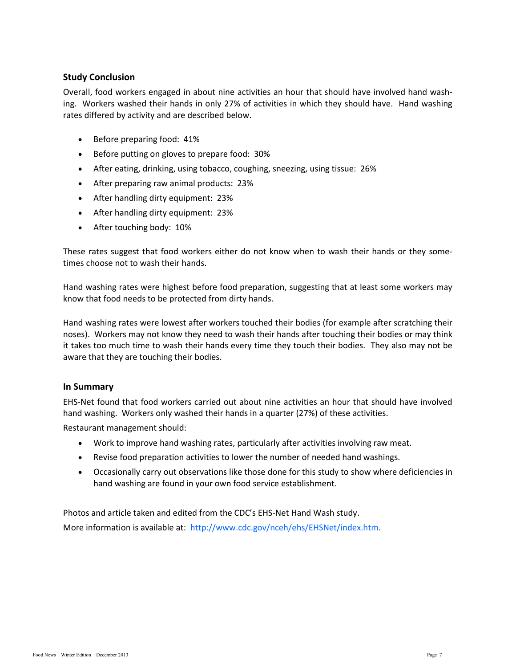#### **Study Conclusion**

Overall, food workers engaged in about nine activities an hour that should have involved hand washing. Workers washed their hands in only 27% of activities in which they should have. Hand washing rates differed by activity and are described below.

- Before preparing food: 41%
- Before putting on gloves to prepare food: 30%
- After eating, drinking, using tobacco, coughing, sneezing, using tissue: 26%
- After preparing raw animal products: 23%
- After handling dirty equipment: 23%
- After handling dirty equipment: 23%
- After touching body: 10%

These rates suggest that food workers either do not know when to wash their hands or they sometimes choose not to wash their hands.

Hand washing rates were highest before food preparation, suggesting that at least some workers may know that food needs to be protected from dirty hands.

Hand washing rates were lowest after workers touched their bodies (for example after scratching their noses). Workers may not know they need to wash their hands after touching their bodies or may think it takes too much time to wash their hands every time they touch their bodies. They also may not be aware that they are touching their bodies.

#### **In Summary**

EHS-Net found that food workers carried out about nine activities an hour that should have involved hand washing. Workers only washed their hands in a quarter (27%) of these activities.

Restaurant management should:

- Work to improve hand washing rates, particularly after activities involving raw meat.
- Revise food preparation activities to lower the number of needed hand washings.
- Occasionally carry out observations like those done for this study to show where deficiencies in hand washing are found in your own food service establishment.

Photos and article taken and edited from the CDC's EHS-Net Hand Wash study. More information is available at: [http://www.cdc.gov/nceh/ehs/EHSNet/index.htm.](http://www.cec.gov/nceh/ehs/EHSNet/index.htm)